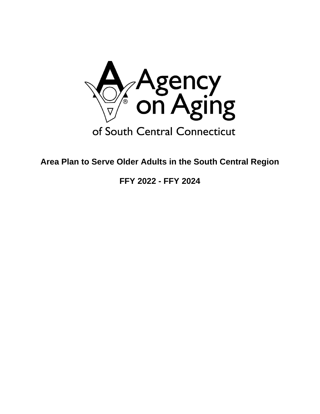

**Area Plan to Serve Older Adults in the South Central Region**

**FFY 2022 - FFY 2024**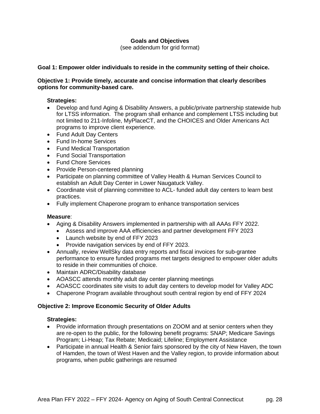# **Goals and Objectives**

(see addendum for grid format)

### **Goal 1: Empower older individuals to reside in the community setting of their choice.**

# **Objective 1: Provide timely, accurate and concise information that clearly describes options for community-based care.**

### **Strategies:**

- Develop and fund Aging & Disability Answers, a public/private partnership statewide hub for LTSS information. The program shall enhance and complement LTSS including but not limited to 211-Infoline, MyPlaceCT, and the CHOICES and Older Americans Act programs to improve client experience.
- Fund Adult Day Centers
- Fund In-home Services
- Fund Medical Transportation
- Fund Social Transportation
- Fund Chore Services
- Provide Person-centered planning
- Participate on planning committee of Valley Health & Human Services Council to establish an Adult Day Center in Lower Naugatuck Valley.
- Coordinate visit of planning committee to ACL- funded adult day centers to learn best practices.
- Fully implement Chaperone program to enhance transportation services

#### **Measure**:

- Aging & Disability Answers implemented in partnership with all AAAs FFY 2022.
	- Assess and improve AAA efficiencies and partner development FFY 2023
		- Launch website by end of FFY 2023
		- Provide navigation services by end of FFY 2023.
- Annually, review WellSky data entry reports and fiscal invoices for sub-grantee performance to ensure funded programs met targets designed to empower older adults to reside in their communities of choice.
- Maintain ADRC/Disability database
- AOASCC attends monthly adult day center planning meetings
- AOASCC coordinates site visits to adult day centers to develop model for Valley ADC
- Chaperone Program available throughout south central region by end of FFY 2024

# **Objective 2: Improve Economic Security of Older Adults**

#### **Strategies:**

- Provide information through presentations on ZOOM and at senior centers when they are re-open to the public, for the following benefit programs: SNAP; Medicare Savings Program; Li-Heap; Tax Rebate; Medicaid; Lifeline; Employment Assistance
- Participate in annual Health & Senior fairs sponsored by the city of New Haven, the town of Hamden, the town of West Haven and the Valley region, to provide information about programs, when public gatherings are resumed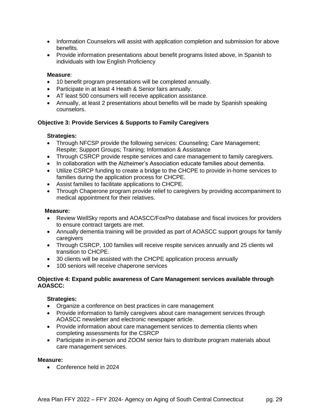- Information Counselors will assist with application completion and submission for above benefits.
- Provide information presentations about benefit programs listed above, in Spanish to individuals with low English Proficiency

### **Measure**:

- 10 benefit program presentations will be completed annually.
- Participate in at least 4 Heath & Senior fairs annually.
- AT least 500 consumers will receive application assistance.
- Annually, at least 2 presentations about benefits will be made by Spanish speaking counselors.

### **Objective 3: Provide Services & Supports to Family Caregivers**

#### **Strategies:**

- Through NFCSP provide the following services: Counseling; Care Management; Respite; Support Groups; Training; Information & Assistance
- Through CSRCP provide respite services and care management to family caregivers.
- In collaboration with the Alzheimer's Association educate families about dementia.
- Utilize CSRCP funding to create a bridge to the CHCPE to provide in-home services to families during the application process for CHCPE.
- Assist families to facilitate applications to CHCPE.
- Through Chaperone program provide relief to caregivers by providing accompaniment to medical appointment for their relatives.

#### **Measure:**

- Review WellSky reports and AOASCC/FoxPro database and fiscal invoices for providers to ensure contract targets are met.
- Annually dementia training will be provided as part of AOASCC support groups for family caregivers
- Through CSRCP, 100 families will receive respite services annually and 25 clients wil transition to CHCPE.
- 30 clients will be assisted with the CHCPE application process annually
- 100 seniors will receive chaperone services

### **Objective 4: Expand public awareness of Care Managemen**t **services available through AOASCC:**

#### **Strategies:**

- Organize a conference on best practices in care management
- Provide information to family caregivers about care management services through AOASCC newsletter and electronic newspaper article.
- Provide information about care management services to dementia clients when completing assessments for the CSRCP
- Participate in in-person and ZOOM senior fairs to distribute program materials about care management services.

#### **Measure:**

• Conference held in 2024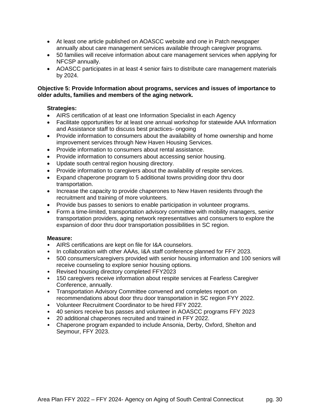- At least one article published on AOASCC website and one in Patch newspaper annually about care management services available through caregiver programs.
- 50 families will receive information about care management services when applying for NFCSP annually.
- AOASCC participates in at least 4 senior fairs to distribute care management materials by 2024.

### **Objective 5: Provide Information about programs, services and issues of importance to older adults, families and members of the aging network.**

# **Strategies:**

- AIRS certification of at least one Information Specialist in each Agency
- Facilitate opportunities for at least one annual workshop for statewide AAA Information and Assistance staff to discuss best practices- ongoing
- Provide information to consumers about the availability of home ownership and home improvement services through New Haven Housing Services.
- Provide information to consumers about rental assistance.
- Provide information to consumers about accessing senior housing.
- Update south central region housing directory.
- Provide information to caregivers about the availability of respite services.
- Expand chaperone program to 5 additional towns providing door thru door transportation.
- Increase the capacity to provide chaperones to New Haven residents through the recruitment and training of more volunteers.
- Provide bus passes to seniors to enable participation in volunteer programs.
- Form a time-limited, transportation advisory committee with mobility managers, senior transportation providers, aging network representatives and consumers to explore the expansion of door thru door transportation possibilities in SC region.

- AIRS certifications are kept on file for I&A counselors.
- In collaboration with other AAAs, I&A staff conference planned for FFY 2023.
- 500 consumers/caregivers provided with senior housing information and 100 seniors will receive counseling to explore senior housing options.
- Revised housing directory completed FFY2023
- 150 caregivers receive information about respite services at Fearless Caregiver Conference, annually.
- Transportation Advisory Committee convened and completes report on recommendations about door thru door transportation in SC region FYY 2022.
- Volunteer Recruitment Coordinator to be hired FFY 2022.
- 40 seniors receive bus passes and volunteer in AOASCC programs FFY 2023
- 20 additional chaperones recruited and trained in FFY 2022.
- Chaperone program expanded to include Ansonia, Derby, Oxford, Shelton and Seymour, FFY 2023.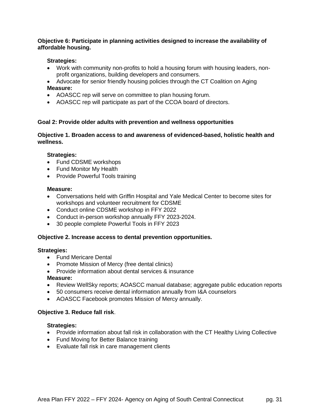# **Objective 6: Participate in planning activities designed to increase the availability of affordable housing.**

# **Strategies:**

- Work with community non-profits to hold a housing forum with housing leaders, nonprofit organizations, building developers and consumers.
- Advocate for senior friendly housing policies through the CT Coalition on Aging **Measure:**
- AOASCC rep will serve on committee to plan housing forum.
- AOASCC rep will participate as part of the CCOA board of directors.

# **Goal 2: Provide older adults with prevention and wellness opportunities**

**Objective 1. Broaden access to and awareness of evidenced-based, holistic health and wellness.** 

# **Strategies:**

- Fund CDSME workshops
- Fund Monitor My Health
- Provide Powerful Tools training

# **Measure:**

- Conversations held with Griffin Hospital and Yale Medical Center to become sites for workshops and volunteer recruitment for CDSME
- Conduct online CDSME workshop in FFY 2022
- Conduct in-person workshop annually FFY 2023-2024.
- 30 people complete Powerful Tools in FFY 2023

# **Objective 2. Increase access to dental prevention opportunities.**

#### **Strategies:**

- Fund Mericare Dental
- Promote Mission of Mercy (free dental clinics)
- Provide information about dental services & insurance

#### **Measure:**

- Review WellSky reports; AOASCC manual database; aggregate public education reports
- 50 consumers receive dental information annually from I&A counselors
- AOASCC Facebook promotes Mission of Mercy annually.

#### **Objective 3. Reduce fall risk**.

#### **Strategies:**

- Provide information about fall risk in collaboration with the CT Healthy Living Collective
- Fund Moving for Better Balance training
- Evaluate fall risk in care management clients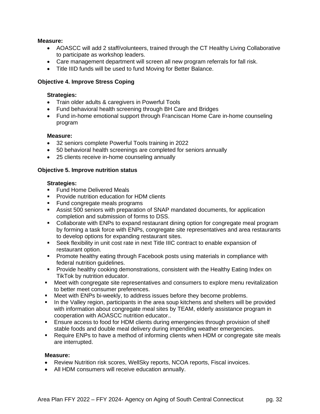### **Measure:**

- AOASCC will add 2 staff/volunteers, trained through the CT Healthy Living Collaborative to participate as workshop leaders.
- Care management department will screen all new program referrals for fall risk.
- Title IIID funds will be used to fund Moving for Better Balance.

# **Objective 4. Improve Stress Coping**

### **Strategies:**

- Train older adults & caregivers in Powerful Tools
- Fund behavioral health screening through BH Care and Bridges
- Fund in-home emotional support through Franciscan Home Care in-home counseling program

### **Measure:**

- 32 seniors complete Powerful Tools training in 2022
- 50 behavioral health screenings are completed for seniors annually
- 25 clients receive in-home counseling annually

### **Objective 5. Improve nutrition status**

#### **Strategies:**

- **EXECUTE:** Fund Home Delivered Meals
- Provide nutrition education for HDM clients
- Fund congregate meals programs
- Assist 500 seniors with preparation of SNAP mandated documents, for application completion and submission of forms to DSS.
- Collaborate with ENPs to expand restaurant dining option for congregate meal program by forming a task force with ENPs, congregate site representatives and area restaurants to develop options for expanding restaurant sites.
- **EXECT** Seek flexibility in unit cost rate in next Title IIIC contract to enable expansion of restaurant option.
- **Promote healthy eating through Facebook posts using materials in compliance with** federal nutrition guidelines.
- **•** Provide healthy cooking demonstrations, consistent with the Healthy Eating Index on TikTok by nutrition educator.
- Meet with congregate site representatives and consumers to explore menu revitalization to better meet consumer preferences.
- Meet with ENPs bi-weekly, to address issues before they become problems.
- In the Valley region, participants in the area soup kitchens and shelters will be provided with information about congregate meal sites by TEAM, elderly assistance program in cooperation with AOASCC nutrition educator..
- **Ensure access to food for HDM clients during emergencies through provision of shelf** stable foods and double meal delivery during impending weather emergencies.
- Require ENPs to have a method of informing clients when HDM or congregate site meals are interrupted.

- Review Nutrition risk scores, WellSky reports, NCOA reports, Fiscal invoices.
- All HDM consumers will receive education annually.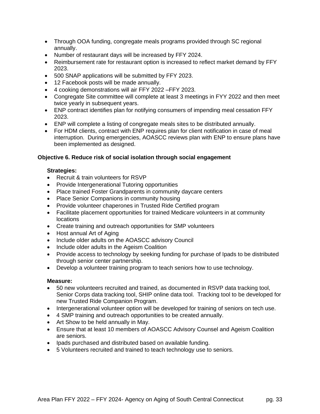- Through OOA funding, congregate meals programs provided through SC regional annually.
- Number of restaurant days will be increased by FFY 2024.
- Reimbursement rate for restaurant option is increased to reflect market demand by FFY 2023.
- 500 SNAP applications will be submitted by FFY 2023.
- 12 Facebook posts will be made annually.
- 4 cooking demonstrations will air FFY 2022 –FFY 2023.
- Congregate Site committee will complete at least 3 meetings in FYY 2022 and then meet twice yearly in subsequent years.
- ENP contract identifies plan for notifying consumers of impending meal cessation FFY 2023.
- ENP will complete a listing of congregate meals sites to be distributed annually.
- For HDM clients, contract with ENP requires plan for client notification in case of meal interruption. During emergencies, AOASCC reviews plan with ENP to ensure plans have been implemented as designed.

# **Objective 6. Reduce risk of social isolation through social engagement**

# **Strategies:**

- Recruit & train volunteers for RSVP
- Provide Intergenerational Tutoring opportunities
- Place trained Foster Grandparents in community daycare centers
- Place Senior Companions in community housing
- Provide volunteer chaperones in Trusted Ride Certified program
- Facilitate placement opportunities for trained Medicare volunteers in at community **locations**
- Create training and outreach opportunities for SMP volunteers
- Host annual Art of Aging
- Include older adults on the AOASCC advisory Council
- Include older adults in the Ageism Coalition
- Provide access to technology by seeking funding for purchase of Ipads to be distributed through senior center partnership.
- Develop a volunteer training program to teach seniors how to use technology.

- 50 new volunteers recruited and trained, as documented in RSVP data tracking tool, Senior Corps data tracking tool, SHIP online data tool. Tracking tool to be developed for new Trusted Ride Companion Program.
- Intergenerational volunteer option will be developed for training of seniors on tech use.
- 4 SMP training and outreach opportunities to be created annually.
- Art Show to be held annually in May.
- Ensure that at least 10 members of AOASCC Advisory Counsel and Ageism Coalition are seniors.
- Ipads purchased and distributed based on available funding.
- 5 Volunteers recruited and trained to teach technology use to seniors.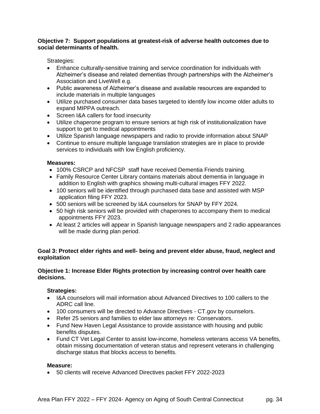### **Objective 7: Support populations at greatest-risk of adverse health outcomes due to social determinants of health.**

Strategies:

- Enhance culturally-sensitive training and service coordination for individuals with Alzheimer's disease and related dementias through partnerships with the Alzheimer's Association and LiveWell e.g.
- Public awareness of Alzheimer's disease and available resources are expanded to include materials in multiple languages
- Utilize purchased consumer data bases targeted to identify low income older adults to expand MIPPA outreach.
- Screen I&A callers for food insecurity
- Utilize chaperone program to ensure seniors at high risk of institutionalization have support to get to medical appointments
- Utilize Spanish language newspapers and radio to provide information about SNAP
- Continue to ensure multiple language translation strategies are in place to provide services to individuals with low English proficiency.

# **Measures:**

- 100% CSRCP and NFCSP staff have received Dementia Friends training.
- Family Resource Center Library contains materials about dementia in language in addition to English with graphics showing multi-cultural images FFY 2022.
- 100 seniors will be identified through purchased data base and assisted with MSP application filing FFY 2023.
- 500 seniors will be screened by I&A counselors for SNAP by FFY 2024.
- 50 high risk seniors will be provided with chaperones to accompany them to medical appointments FFY 2023.
- At least 2 articles will appear in Spanish language newspapers and 2 radio appearances will be made during plan period.

# **Goal 3: Protect elder rights and well- being and prevent elder abuse, fraud, neglect and exploitation**

# **Objective 1: Increase Elder Rights protection by increasing control over health care decisions.**

# **Strategies:**

- I&A counselors will mail information about Advanced Directives to 100 callers to the ADRC call line.
- 100 consumers will be directed to Advance Directives CT.gov by counselors.
- Refer 25 seniors and families to elder law attorneys re: Conservators.
- Fund New Haven Legal Assistance to provide assistance with housing and public benefits disputes.
- Fund CT Vet Legal Center to assist low-income, homeless veterans access VA benefits, obtain missing documentation of veteran status and represent veterans in challenging discharge status that blocks access to benefits.

# **Measure:**

• 50 clients will receive Advanced Directives packet FFY 2022-2023